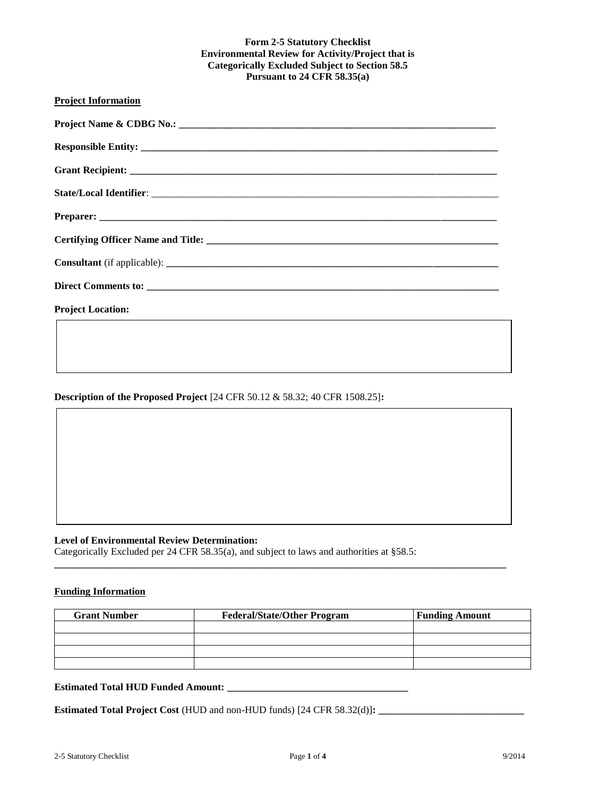## **Form 2-5 Statutory Checklist Environmental Review for Activity/Project that is Categorically Excluded Subject to Section 58.5 Pursuant to 24 CFR 58.35(a)**

| <b>Project Information</b> |
|----------------------------|
|                            |
|                            |
|                            |
|                            |
|                            |
|                            |
|                            |
|                            |
| <b>Project Location:</b>   |
|                            |

**Description of the Proposed Project** [24 CFR 50.12 & 58.32; 40 CFR 1508.25]**:**

#### **Level of Environmental Review Determination:**

Categorically Excluded per 24 CFR 58.35(a), and subject to laws and authorities at §58.5:

#### **Funding Information**

| <b>Grant Number</b> | <b>Federal/State/Other Program</b> | <b>Funding Amount</b> |
|---------------------|------------------------------------|-----------------------|
|                     |                                    |                       |
|                     |                                    |                       |
|                     |                                    |                       |
|                     |                                    |                       |

**\_\_\_\_\_\_\_\_\_\_\_\_\_\_\_\_\_\_\_\_\_\_\_\_\_\_\_\_\_\_\_\_\_\_\_\_\_\_\_\_\_\_\_\_\_\_\_\_\_\_\_\_\_\_\_\_\_\_\_\_\_\_\_\_\_\_\_\_\_\_\_\_\_\_\_\_\_\_\_\_\_\_\_\_\_\_\_\_\_\_**

# **Estimated Total HUD Funded Amount: \_\_\_\_\_\_\_\_\_\_\_\_\_\_\_\_\_\_\_\_\_\_\_\_\_\_\_\_\_\_\_\_\_\_\_\_**

**Estimated Total Project Cost** (HUD and non-HUD funds) [24 CFR 58.32(d)]**: \_\_\_\_\_\_\_\_\_\_\_\_\_\_\_\_\_\_\_\_\_\_\_\_\_\_\_\_\_**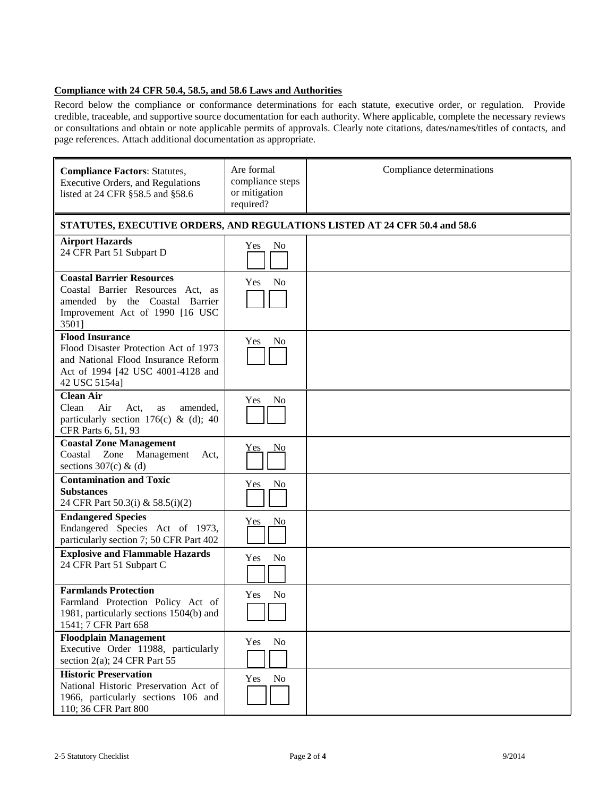## **Compliance with 24 CFR 50.4, 58.5, and 58.6 Laws and Authorities**

Record below the compliance or conformance determinations for each statute, executive order, or regulation. Provide credible, traceable, and supportive source documentation for each authority. Where applicable, complete the necessary reviews or consultations and obtain or note applicable permits of approvals. Clearly note citations, dates/names/titles of contacts, and page references. Attach additional documentation as appropriate.

| <b>Compliance Factors: Statutes,</b><br><b>Executive Orders, and Regulations</b><br>listed at 24 CFR §58.5 and §58.6                                         | Are formal<br>compliance steps<br>or mitigation<br>required? | Compliance determinations                                                  |
|--------------------------------------------------------------------------------------------------------------------------------------------------------------|--------------------------------------------------------------|----------------------------------------------------------------------------|
|                                                                                                                                                              |                                                              | STATUTES, EXECUTIVE ORDERS, AND REGULATIONS LISTED AT 24 CFR 50.4 and 58.6 |
| <b>Airport Hazards</b><br>24 CFR Part 51 Subpart D                                                                                                           | No<br>Yes                                                    |                                                                            |
| <b>Coastal Barrier Resources</b><br>Coastal Barrier Resources Act, as<br>amended by the Coastal Barrier<br>Improvement Act of 1990 [16 USC<br>3501]          | N <sub>0</sub><br><b>Yes</b>                                 |                                                                            |
| <b>Flood Insurance</b><br>Flood Disaster Protection Act of 1973<br>and National Flood Insurance Reform<br>Act of 1994 [42 USC 4001-4128 and<br>42 USC 5154a] | <b>Yes</b><br>N <sub>0</sub>                                 |                                                                            |
| <b>Clean Air</b><br>Air<br>Clean<br>Act,<br>amended,<br>as<br>particularly section 176(c) & (d); 40<br>CFR Parts 6, 51, 93                                   | <b>Yes</b><br>No                                             |                                                                            |
| <b>Coastal Zone Management</b><br>Coastal<br>Zone Management<br>Act,<br>sections $307(c)$ & (d)                                                              | N <sub>0</sub><br><u>Yes</u>                                 |                                                                            |
| <b>Contamination and Toxic</b><br><b>Substances</b><br>24 CFR Part 50.3(i) & 58.5(i)(2)                                                                      | No<br>Yes                                                    |                                                                            |
| <b>Endangered Species</b><br>Endangered Species Act of 1973,<br>particularly section 7; 50 CFR Part 402                                                      | No<br>Yes                                                    |                                                                            |
| <b>Explosive and Flammable Hazards</b><br>24 CFR Part 51 Subpart C                                                                                           | No<br>Yes                                                    |                                                                            |
| <b>Farmlands Protection</b><br>Farmland Protection Policy Act of<br>1981, particularly sections 1504(b) and<br>1541; 7 CFR Part 658                          | No<br>Yes                                                    |                                                                            |
| <b>Floodplain Management</b><br>Executive Order 11988, particularly<br>section $2(a)$ ; 24 CFR Part 55                                                       | No<br>Yes                                                    |                                                                            |
| <b>Historic Preservation</b><br>National Historic Preservation Act of<br>1966, particularly sections 106 and<br>110; 36 CFR Part 800                         | No<br>Yes                                                    |                                                                            |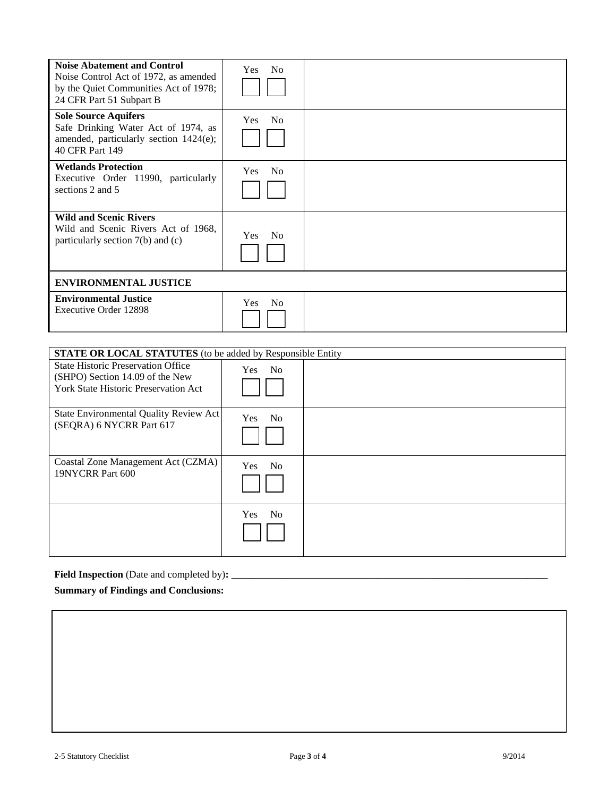| <b>Noise Abatement and Control</b><br>Noise Control Act of 1972, as amended<br>by the Quiet Communities Act of 1978;<br>24 CFR Part 51 Subpart B | N <sub>0</sub><br><b>Yes</b> |  |
|--------------------------------------------------------------------------------------------------------------------------------------------------|------------------------------|--|
| <b>Sole Source Aquifers</b><br>Safe Drinking Water Act of 1974, as<br>amended, particularly section 1424(e);<br>40 CFR Part 149                  | N <sub>o</sub><br><b>Yes</b> |  |
| <b>Wetlands Protection</b><br>Executive Order 11990, particularly<br>sections 2 and 5                                                            | <b>No</b><br><b>Yes</b>      |  |
| <b>Wild and Scenic Rivers</b><br>Wild and Scenic Rivers Act of 1968.<br>particularly section $7(b)$ and $(c)$                                    | N <sub>0</sub><br><b>Yes</b> |  |
| <b>ENVIRONMENTAL JUSTICE</b>                                                                                                                     |                              |  |
| <b>Environmental Justice</b><br>Executive Order 12898                                                                                            | N <sub>0</sub><br><b>Yes</b> |  |

| <b>STATE OR LOCAL STATUTES</b> (to be added by Responsible Entity                                                           |                              |  |
|-----------------------------------------------------------------------------------------------------------------------------|------------------------------|--|
| <b>State Historic Preservation Office</b><br>(SHPO) Section 14.09 of the New<br><b>York State Historic Preservation Act</b> | Yes No                       |  |
| State Environmental Quality Review Act<br>(SEQRA) 6 NYCRR Part 617                                                          | <b>Yes</b><br>No.            |  |
| Coastal Zone Management Act (CZMA)<br>19NYCRR Part 600                                                                      | N <sub>o</sub><br><b>Yes</b> |  |
|                                                                                                                             | Yes No                       |  |

# **Field Inspection** (Date and completed by)**: \_\_\_\_\_\_\_\_\_\_\_\_\_\_\_\_\_\_\_\_\_\_\_\_\_\_\_\_\_\_\_\_\_\_\_\_\_\_\_\_\_\_\_\_\_\_\_\_\_\_\_\_\_\_\_\_\_\_\_\_\_\_\_**

# **Summary of Findings and Conclusions:**